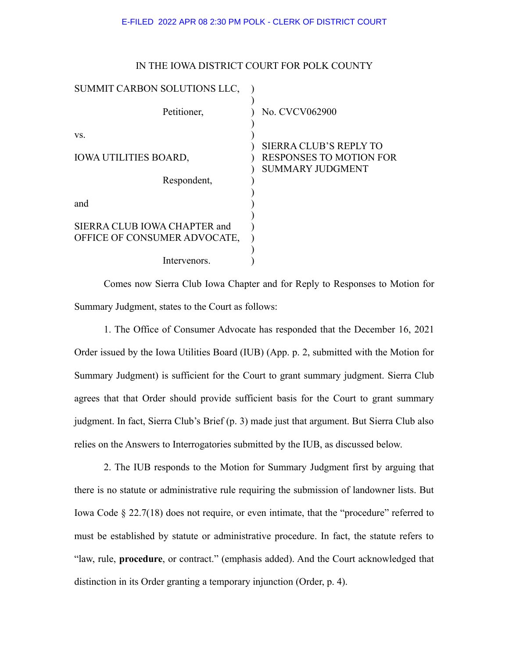| IN THE IOWA DISTRICT COURT FOR POLK COUNTY |  |  |  |  |  |  |  |
|--------------------------------------------|--|--|--|--|--|--|--|
|--------------------------------------------|--|--|--|--|--|--|--|

| SUMMIT CARBON SOLUTIONS LLC,                                 |                                                                                            |
|--------------------------------------------------------------|--------------------------------------------------------------------------------------------|
| Petitioner,                                                  | No. CVCV062900                                                                             |
| VS.<br><b>IOWA UTILITIES BOARD,</b>                          | <b>SIERRA CLUB'S REPLY TO</b><br><b>RESPONSES TO MOTION FOR</b><br><b>SUMMARY JUDGMENT</b> |
| Respondent,                                                  |                                                                                            |
| and                                                          |                                                                                            |
| SIERRA CLUB IOWA CHAPTER and<br>OFFICE OF CONSUMER ADVOCATE, |                                                                                            |
| Intervenors.                                                 |                                                                                            |

Comes now Sierra Club Iowa Chapter and for Reply to Responses to Motion for Summary Judgment, states to the Court as follows:

1. The Office of Consumer Advocate has responded that the December 16, 2021 Order issued by the Iowa Utilities Board (IUB) (App. p. 2, submitted with the Motion for Summary Judgment) is sufficient for the Court to grant summary judgment. Sierra Club agrees that that Order should provide sufficient basis for the Court to grant summary judgment. In fact, Sierra Club's Brief (p. 3) made just that argument. But Sierra Club also relies on the Answers to Interrogatories submitted by the IUB, as discussed below.

2. The IUB responds to the Motion for Summary Judgment first by arguing that there is no statute or administrative rule requiring the submission of landowner lists. But Iowa Code § 22.7(18) does not require, or even intimate, that the "procedure" referred to must be established by statute or administrative procedure. In fact, the statute refers to "law, rule, **procedure**, or contract." (emphasis added). And the Court acknowledged that distinction in its Order granting a temporary injunction (Order, p. 4).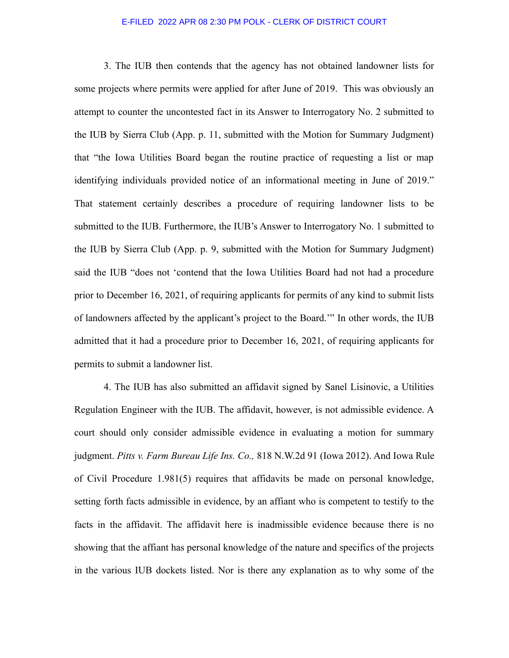## E-FILED 2022 APR 08 2:30 PM POLK - CLERK OF DISTRICT COURT

3. The IUB then contends that the agency has not obtained landowner lists for some projects where permits were applied for after June of 2019. This was obviously an attempt to counter the uncontested fact in its Answer to Interrogatory No. 2 submitted to the IUB by Sierra Club (App. p. 11, submitted with the Motion for Summary Judgment) that "the Iowa Utilities Board began the routine practice of requesting a list or map identifying individuals provided notice of an informational meeting in June of 2019." That statement certainly describes a procedure of requiring landowner lists to be submitted to the IUB. Furthermore, the IUB's Answer to Interrogatory No. 1 submitted to the IUB by Sierra Club (App. p. 9, submitted with the Motion for Summary Judgment) said the IUB "does not 'contend that the Iowa Utilities Board had not had a procedure prior to December 16, 2021, of requiring applicants for permits of any kind to submit lists of landowners affected by the applicant's project to the Board.'" In other words, the IUB admitted that it had a procedure prior to December 16, 2021, of requiring applicants for permits to submit a landowner list.

4. The IUB has also submitted an affidavit signed by Sanel Lisinovic, a Utilities Regulation Engineer with the IUB. The affidavit, however, is not admissible evidence. A court should only consider admissible evidence in evaluating a motion for summary judgment. *Pitts v. Farm Bureau Life Ins. Co.,* 818 N.W.2d 91 (Iowa 2012). And Iowa Rule of Civil Procedure 1.981(5) requires that affidavits be made on personal knowledge, setting forth facts admissible in evidence, by an affiant who is competent to testify to the facts in the affidavit. The affidavit here is inadmissible evidence because there is no showing that the affiant has personal knowledge of the nature and specifics of the projects in the various IUB dockets listed. Nor is there any explanation as to why some of the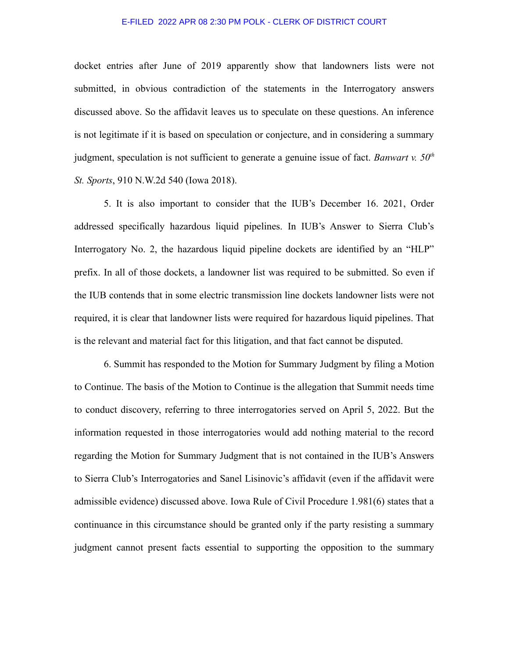## E-FILED 2022 APR 08 2:30 PM POLK - CLERK OF DISTRICT COURT

docket entries after June of 2019 apparently show that landowners lists were not submitted, in obvious contradiction of the statements in the Interrogatory answers discussed above. So the affidavit leaves us to speculate on these questions. An inference is not legitimate if it is based on speculation or conjecture, and in considering a summary judgment, speculation is not sufficient to generate a genuine issue of fact. *Banwart v. 50th St. Sports*, 910 N.W.2d 540 (Iowa 2018).

5. It is also important to consider that the IUB's December 16. 2021, Order addressed specifically hazardous liquid pipelines. In IUB's Answer to Sierra Club's Interrogatory No. 2, the hazardous liquid pipeline dockets are identified by an "HLP" prefix. In all of those dockets, a landowner list was required to be submitted. So even if the IUB contends that in some electric transmission line dockets landowner lists were not required, it is clear that landowner lists were required for hazardous liquid pipelines. That is the relevant and material fact for this litigation, and that fact cannot be disputed.

6. Summit has responded to the Motion for Summary Judgment by filing a Motion to Continue. The basis of the Motion to Continue is the allegation that Summit needs time to conduct discovery, referring to three interrogatories served on April 5, 2022. But the information requested in those interrogatories would add nothing material to the record regarding the Motion for Summary Judgment that is not contained in the IUB's Answers to Sierra Club's Interrogatories and Sanel Lisinovic's affidavit (even if the affidavit were admissible evidence) discussed above. Iowa Rule of Civil Procedure 1.981(6) states that a continuance in this circumstance should be granted only if the party resisting a summary judgment cannot present facts essential to supporting the opposition to the summary